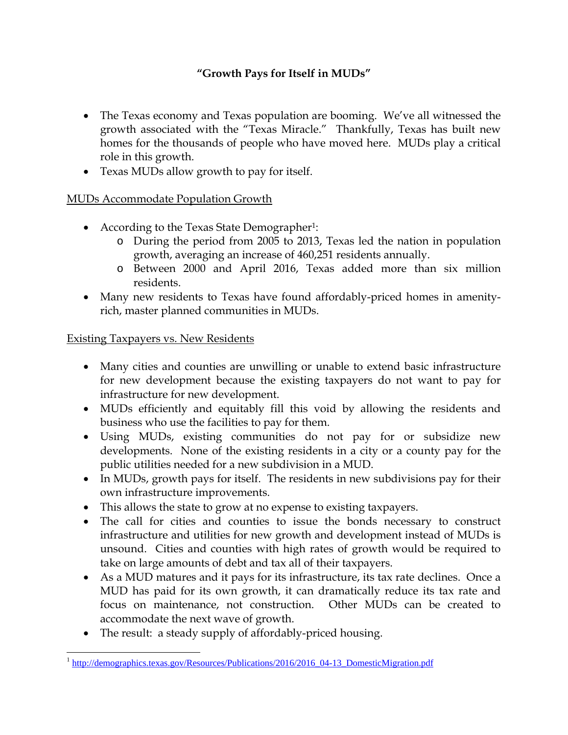## **"Growth Pays for Itself in MUDs"**

- The Texas economy and Texas population are booming. We've all witnessed the growth associated with the "Texas Miracle." Thankfully, Texas has built new homes for the thousands of people who have moved here. MUDs play a critical role in this growth.
- Texas MUDs allow growth to pay for itself.

## MUDs Accommodate Population Growth

- According to the Texas State Demographer<sup>1</sup>:
	- o During the period from 2005 to 2013, Texas led the nation in population growth, averaging an increase of 460,251 residents annually.
	- o Between 2000 and April 2016, Texas added more than six million residents.
- Many new residents to Texas have found affordably-priced homes in amenityrich, master planned communities in MUDs.

## Existing Taxpayers vs. New Residents

- Many cities and counties are unwilling or unable to extend basic infrastructure for new development because the existing taxpayers do not want to pay for infrastructure for new development.
- MUDs efficiently and equitably fill this void by allowing the residents and business who use the facilities to pay for them.
- Using MUDs, existing communities do not pay for or subsidize new developments. None of the existing residents in a city or a county pay for the public utilities needed for a new subdivision in a MUD.
- In MUDs, growth pays for itself. The residents in new subdivisions pay for their own infrastructure improvements.
- This allows the state to grow at no expense to existing taxpayers.
- The call for cities and counties to issue the bonds necessary to construct infrastructure and utilities for new growth and development instead of MUDs is unsound. Cities and counties with high rates of growth would be required to take on large amounts of debt and tax all of their taxpayers.
- As a MUD matures and it pays for its infrastructure, its tax rate declines. Once a MUD has paid for its own growth, it can dramatically reduce its tax rate and focus on maintenance, not construction. Other MUDs can be created to accommodate the next wave of growth.
- The result: a steady supply of affordably-priced housing.

 $\overline{a}$ <sup>1</sup> http://demographics.texas.gov/Resources/Publications/2016/2016\_04-13\_DomesticMigration.pdf